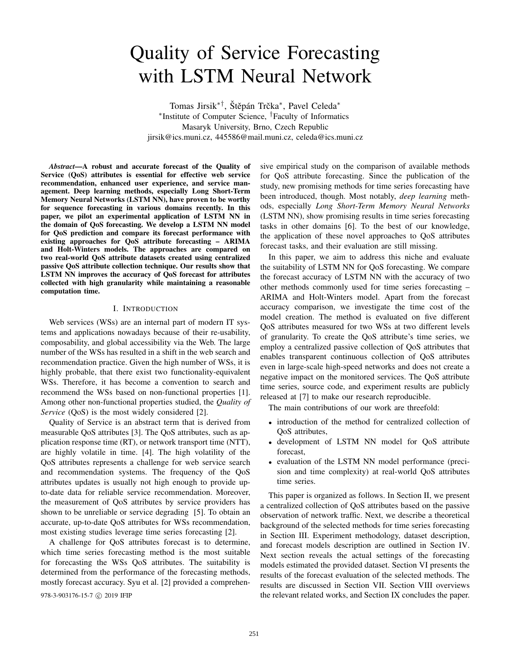# Quality of Service Forecasting with LSTM Neural Network

Tomas Jirsik<sup>∗†</sup>, Štěpán Trčka<sup>∗</sup>, Pavel Celeda<sup>∗</sup> ∗ Institute of Computer Science, †Faculty of Informatics Masaryk University, Brno, Czech Republic jirsik@ics.muni.cz, 445586@mail.muni.cz, celeda@ics.muni.cz

*Abstract*—A robust and accurate forecast of the Quality of Service (QoS) attributes is essential for effective web service recommendation, enhanced user experience, and service management. Deep learning methods, especially Long Short-Term Memory Neural Networks (LSTM NN), have proven to be worthy for sequence forecasting in various domains recently. In this paper, we pilot an experimental application of LSTM NN in the domain of QoS forecasting. We develop a LSTM NN model for QoS prediction and compare its forecast performance with existing approaches for QoS attribute forecasting – ARIMA and Holt-Winters models. The approaches are compared on two real-world QoS attribute datasets created using centralized passive QoS attribute collection technique. Our results show that LSTM NN improves the accuracy of QoS forecast for attributes collected with high granularity while maintaining a reasonable computation time.

## I. INTRODUCTION

Web services (WSs) are an internal part of modern IT systems and applications nowadays because of their re-usability, composability, and global accessibility via the Web. The large number of the WSs has resulted in a shift in the web search and recommendation practice. Given the high number of WSs, it is highly probable, that there exist two functionality-equivalent WSs. Therefore, it has become a convention to search and recommend the WSs based on non-functional properties [1]. Among other non-functional properties studied, the *Quality of Service* (QoS) is the most widely considered [2].

Quality of Service is an abstract term that is derived from measurable QoS attributes [3]. The QoS attributes, such as application response time (RT), or network transport time (NTT), are highly volatile in time. [4]. The high volatility of the QoS attributes represents a challenge for web service search and recommendation systems. The frequency of the QoS attributes updates is usually not high enough to provide upto-date data for reliable service recommendation. Moreover, the measurement of QoS attributes by service providers has shown to be unreliable or service degrading [5]. To obtain an accurate, up-to-date QoS attributes for WSs recommendation, most existing studies leverage time series forecasting [2].

A challenge for QoS attributes forecast is to determine, which time series forecasting method is the most suitable for forecasting the WSs QoS attributes. The suitability is determined from the performance of the forecasting methods, mostly forecast accuracy. Syu et al. [2] provided a comprehen-

sive empirical study on the comparison of available methods for QoS attribute forecasting. Since the publication of the study, new promising methods for time series forecasting have been introduced, though. Most notably, *deep learning* methods, especially *Long Short-Term Memory Neural Networks* (LSTM NN), show promising results in time series forecasting tasks in other domains [6]. To the best of our knowledge, the application of these novel approaches to QoS attributes forecast tasks, and their evaluation are still missing.

In this paper, we aim to address this niche and evaluate the suitability of LSTM NN for QoS forecasting. We compare the forecast accuracy of LSTM NN with the accuracy of two other methods commonly used for time series forecasting – ARIMA and Holt-Winters model. Apart from the forecast accuracy comparison, we investigate the time cost of the model creation. The method is evaluated on five different QoS attributes measured for two WSs at two different levels of granularity. To create the QoS attribute's time series, we employ a centralized passive collection of QoS attributes that enables transparent continuous collection of QoS attributes even in large-scale high-speed networks and does not create a negative impact on the monitored services. The QoS attribute time series, source code, and experiment results are publicly released at [7] to make our research reproducible.

The main contributions of our work are threefold:

- introduction of the method for centralized collection of QoS attributes,
- development of LSTM NN model for QoS attribute forecast,
- evaluation of the LSTM NN model performance (precision and time complexity) at real-world QoS attributes time series.

This paper is organized as follows. In Section II, we present a centralized collection of QoS attributes based on the passive observation of network traffic. Next, we describe a theoretical background of the selected methods for time series forecasting in Section III. Experiment methodology, dataset description, and forecast models description are outlined in Section IV. Next section reveals the actual settings of the forecasting models estimated the provided dataset. Section VI presents the results of the forecast evaluation of the selected methods. The results are discussed in Section VII. Section VIII overviews 978-3-903176-15-7 © 2019 IFIP the relevant related works, and Section IX concludes the paper.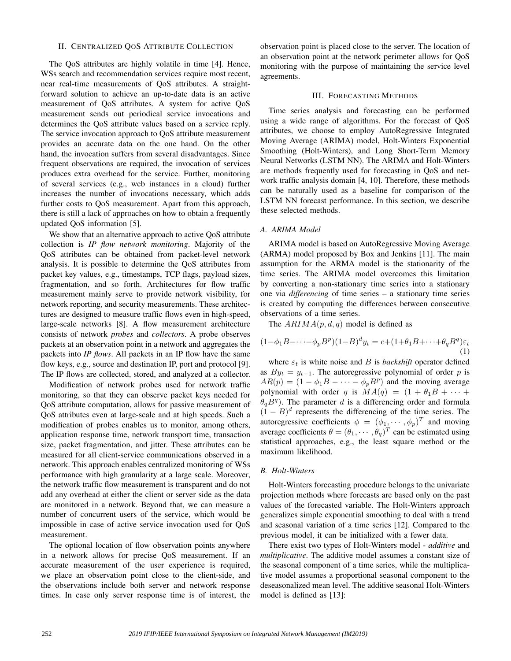# II. CENTRALIZED QOS ATTRIBUTE COLLECTION

The QoS attributes are highly volatile in time [4]. Hence, WSs search and recommendation services require most recent, near real-time measurements of QoS attributes. A straightforward solution to achieve an up-to-date data is an active measurement of QoS attributes. A system for active QoS measurement sends out periodical service invocations and determines the QoS attribute values based on a service reply. The service invocation approach to QoS attribute measurement provides an accurate data on the one hand. On the other hand, the invocation suffers from several disadvantages. Since frequent observations are required, the invocation of services produces extra overhead for the service. Further, monitoring of several services (e.g., web instances in a cloud) further increases the number of invocations necessary, which adds further costs to QoS measurement. Apart from this approach, there is still a lack of approaches on how to obtain a frequently updated QoS information [5].

We show that an alternative approach to active QoS attribute collection is *IP flow network monitoring*. Majority of the QoS attributes can be obtained from packet-level network analysis. It is possible to determine the QoS attributes from packet key values, e.g., timestamps, TCP flags, payload sizes, fragmentation, and so forth. Architectures for flow traffic measurement mainly serve to provide network visibility, for network reporting, and security measurements. These architectures are designed to measure traffic flows even in high-speed, large-scale networks [8]. A flow measurement architecture consists of network *probes* and *collectors*. A probe observes packets at an observation point in a network and aggregates the packets into *IP flows*. All packets in an IP flow have the same flow keys, e.g., source and destination IP, port and protocol [9]. The IP flows are collected, stored, and analyzed at a collector.

Modification of network probes used for network traffic monitoring, so that they can observe packet keys needed for QoS attribute computation, allows for passive measurement of QoS attributes even at large-scale and at high speeds. Such a modification of probes enables us to monitor, among others, application response time, network transport time, transaction size, packet fragmentation, and jitter. These attributes can be measured for all client-service communications observed in a network. This approach enables centralized monitoring of WSs performance with high granularity at a large scale. Moreover, the network traffic flow measurement is transparent and do not add any overhead at either the client or server side as the data are monitored in a network. Beyond that, we can measure a number of concurrent users of the service, which would be impossible in case of active service invocation used for QoS measurement.

The optional location of flow observation points anywhere in a network allows for precise QoS measurement. If an accurate measurement of the user experience is required, we place an observation point close to the client-side, and the observations include both server and network response times. In case only server response time is of interest, the

observation point is placed close to the server. The location of an observation point at the network perimeter allows for QoS monitoring with the purpose of maintaining the service level agreements.

### III. FORECASTING METHODS

Time series analysis and forecasting can be performed using a wide range of algorithms. For the forecast of QoS attributes, we choose to employ AutoRegressive Integrated Moving Average (ARIMA) model, Holt-Winters Exponential Smoothing (Holt-Winters), and Long Short-Term Memory Neural Networks (LSTM NN). The ARIMA and Holt-Winters are methods frequently used for forecasting in QoS and network traffic analysis domain [4, 10]. Therefore, these methods can be naturally used as a baseline for comparison of the LSTM NN forecast performance. In this section, we describe these selected methods.

## *A. ARIMA Model*

ARIMA model is based on AutoRegressive Moving Average (ARMA) model proposed by Box and Jenkins [11]. The main assumption for the ARMA model is the stationarity of the time series. The ARIMA model overcomes this limitation by converting a non-stationary time series into a stationary one via *differencing* of time series – a stationary time series is created by computing the differences between consecutive observations of a time series.

The  $ARIMA(p, d, q)$  model is defined as

$$
(1 - \phi_1 B - \cdots - \phi_p B^p)(1 - B)^d y_t = c + (1 + \theta_1 B + \cdots + \theta_q B^q) \varepsilon_t
$$
  
(1)

where  $\varepsilon_t$  is white noise and B is *backshift* operator defined as  $By_t = y_{t-1}$ . The autoregressive polynomial of order p is  $AR(p) = (1 - \phi_1 B - \cdots - \phi_p B^p)$  and the moving average polynomial with order q is  $MA(q) = (1 + \theta_1 B + \cdots +$  $\theta_q B^q$ ). The parameter d is a differencing order and formula  $(1 - B)^d$  represents the differencing of the time series. The autoregressive coefficients  $\phi = (\phi_1, \cdots, \phi_p)^T$  and moving average coefficients  $\theta = (\theta_1, \dots, \theta_q)^T$  can be estimated using statistical approaches, e.g., the least square method or the maximum likelihood.

#### *B. Holt-Winters*

Holt-Winters forecasting procedure belongs to the univariate projection methods where forecasts are based only on the past values of the forecasted variable. The Holt-Winters approach generalizes simple exponential smoothing to deal with a trend and seasonal variation of a time series [12]. Compared to the previous model, it can be initialized with a fewer data.

There exist two types of Holt-Winters model - *additive* and *multiplicative*. The additive model assumes a constant size of the seasonal component of a time series, while the multiplicative model assumes a proportional seasonal component to the deseasonalized mean level. The additive seasonal Holt-Winters model is defined as [13]: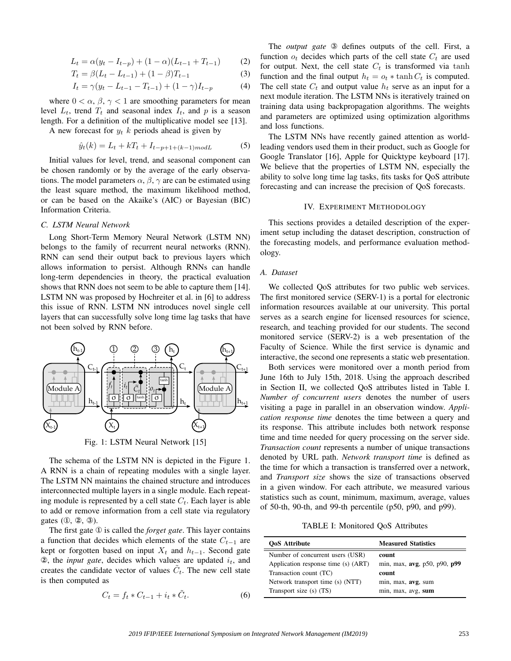$$
L_t = \alpha(y_t - I_{t-p}) + (1 - \alpha)(L_{t-1} + T_{t-1})
$$
 (2)

$$
T_t = \beta (L_t - L_{t-1}) + (1 - \beta) T_{t-1}
$$
\n(3)

$$
I_t = \gamma(y_t - L_{t-1} - T_{t-1}) + (1 - \gamma)I_{t-p}
$$
 (4)

where  $0 < \alpha$ ,  $\beta$ ,  $\gamma < 1$  are smoothing parameters for mean level  $L_t$ , trend  $T_t$  and seasonal index  $I_t$ , and p is a season length. For a definition of the multiplicative model see [13].

A new forecast for  $y_t$  k periods ahead is given by

$$
\hat{y}_t(k) = L_t + kT_t + I_{t-p+1+(k-1)modL} \tag{5}
$$

Initial values for level, trend, and seasonal component can be chosen randomly or by the average of the early observations. The model parameters  $\alpha$ ,  $\beta$ ,  $\gamma$  are can be estimated using the least square method, the maximum likelihood method, or can be based on the Akaike's (AIC) or Bayesian (BIC) Information Criteria.

#### *C. LSTM Neural Network*

Long Short-Term Memory Neural Network (LSTM NN) belongs to the family of recurrent neural networks (RNN). RNN can send their output back to previous layers which allows information to persist. Although RNNs can handle long-term dependencies in theory, the practical evaluation shows that RNN does not seem to be able to capture them [14]. LSTM NN was proposed by Hochreiter et al. in [6] to address this issue of RNN. LSTM NN introduces novel single cell layers that can successfully solve long time lag tasks that have not been solved by RNN before.



Fig. 1: LSTM Neural Network [15]

The schema of the LSTM NN is depicted in the Figure 1. A RNN is a chain of repeating modules with a single layer. The LSTM NN maintains the chained structure and introduces interconnected multiple layers in a single module. Each repeating module is represented by a cell state  $C_t$ . Each layer is able to add or remove information from a cell state via regulatory gates (①, ②, ③).

The first gate ① is called the *forget gate*. This layer contains a function that decides which elements of the state  $C_{t-1}$  are kept or forgotten based on input  $X_t$  and  $h_{t-1}$ . Second gate  $\ddot{a}$ , the *input gate*, decides which values are updated  $i_t$ , and creates the candidate vector of values  $\tilde{C}_t$ . The new cell state is then computed as

$$
C_t = f_t * C_{t-1} + i_t * \tilde{C}_t.
$$
 (6)

The *output gate* ③ defines outputs of the cell. First, a function  $o_t$  decides which parts of the cell state  $C_t$  are used for output. Next, the cell state  $C_t$  is transformed via tanh function and the final output  $h_t = o_t * \tanh C_t$  is computed. The cell state  $C_t$  and output value  $h_t$  serve as an input for a next module iteration. The LSTM NNs is iteratively trained on training data using backpropagation algorithms. The weights and parameters are optimized using optimization algorithms and loss functions.

The LSTM NNs have recently gained attention as worldleading vendors used them in their product, such as Google for Google Translator [16], Apple for Quicktype keyboard [17]. We believe that the properties of LSTM NN, especially the ability to solve long time lag tasks, fits tasks for QoS attribute forecasting and can increase the precision of QoS forecasts.

### IV. EXPERIMENT METHODOLOGY

This sections provides a detailed description of the experiment setup including the dataset description, construction of the forecasting models, and performance evaluation methodology.

#### *A. Dataset*

We collected QoS attributes for two public web services. The first monitored service (SERV-1) is a portal for electronic information resources available at our university. This portal serves as a search engine for licensed resources for science, research, and teaching provided for our students. The second monitored service (SERV-2) is a web presentation of the Faculty of Science. While the first service is dynamic and interactive, the second one represents a static web presentation.

Both services were monitored over a month period from June 16th to July 15th, 2018. Using the approach described in Section II, we collected QoS attributes listed in Table I. *Number of concurrent users* denotes the number of users visiting a page in parallel in an observation window. *Application response time* denotes the time between a query and its response. This attribute includes both network response time and time needed for query processing on the server side. *Transaction count* represents a number of unique transactions denoted by URL path. *Network transport time* is defined as the time for which a transaction is transferred over a network, and *Transport size* shows the size of transactions observed in a given window. For each attribute, we measured various statistics such as count, minimum, maximum, average, values of 50-th, 90-th, and 99-th percentile (p50, p90, and p99).

TABLE I: Monitored QoS Attributes

| <b>OoS</b> Attribute                | <b>Measured Statistics</b>   |
|-------------------------------------|------------------------------|
| Number of concurrent users (USR)    | count                        |
| Application response time (s) (ART) | min, max, avg, p50, p90, p99 |
| Transaction count (TC)              | count                        |
| Network transport time (s) (NTT)    | min, max, avg, sum           |
| Transport size $(s)$ $(TS)$         | min, max, avg, sum           |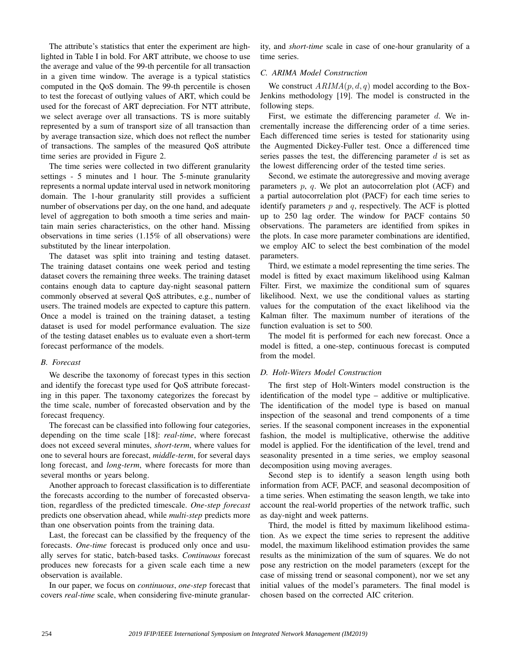The attribute's statistics that enter the experiment are highlighted in Table I in bold. For ART attribute, we choose to use the average and value of the 99-th percentile for all transaction in a given time window. The average is a typical statistics computed in the QoS domain. The 99-th percentile is chosen to test the forecast of outlying values of ART, which could be used for the forecast of ART depreciation. For NTT attribute, we select average over all transactions. TS is more suitably represented by a sum of transport size of all transaction than by average transaction size, which does not reflect the number of transactions. The samples of the measured QoS attribute time series are provided in Figure 2.

The time series were collected in two different granularity settings - 5 minutes and 1 hour. The 5-minute granularity represents a normal update interval used in network monitoring domain. The 1-hour granularity still provides a sufficient number of observations per day, on the one hand, and adequate level of aggregation to both smooth a time series and maintain main series characteristics, on the other hand. Missing observations in time series (1.15% of all observations) were substituted by the linear interpolation.

The dataset was split into training and testing dataset. The training dataset contains one week period and testing dataset covers the remaining three weeks. The training dataset contains enough data to capture day-night seasonal pattern commonly observed at several QoS attributes, e.g., number of users. The trained models are expected to capture this pattern. Once a model is trained on the training dataset, a testing dataset is used for model performance evaluation. The size of the testing dataset enables us to evaluate even a short-term forecast performance of the models.

## *B. Forecast*

We describe the taxonomy of forecast types in this section and identify the forecast type used for QoS attribute forecasting in this paper. The taxonomy categorizes the forecast by the time scale, number of forecasted observation and by the forecast frequency.

The forecast can be classified into following four categories, depending on the time scale [18]: *real-time*, where forecast does not exceed several minutes, *short-term*, where values for one to several hours are forecast, *middle-term*, for several days long forecast, and *long-term*, where forecasts for more than several months or years belong.

Another approach to forecast classification is to differentiate the forecasts according to the number of forecasted observation, regardless of the predicted timescale. *One-step forecast* predicts one observation ahead, while *multi-step* predicts more than one observation points from the training data.

Last, the forecast can be classified by the frequency of the forecasts. *One-time* forecast is produced only once and usually serves for static, batch-based tasks. *Continuous* forecast produces new forecasts for a given scale each time a new observation is available.

In our paper, we focus on *continuous*, *one-step* forecast that covers *real-time* scale, when considering five-minute granular-

ity, and *short-time* scale in case of one-hour granularity of a time series.

## *C. ARIMA Model Construction*

We construct  $ARIMA(p, d, q)$  model according to the Box-Jenkins methodology [19]. The model is constructed in the following steps.

First, we estimate the differencing parameter  $d$ . We incrementally increase the differencing order of a time series. Each differenced time series is tested for stationarity using the Augmented Dickey-Fuller test. Once a differenced time series passes the test, the differencing parameter  $d$  is set as the lowest differencing order of the tested time series.

Second, we estimate the autoregressive and moving average parameters  $p$ ,  $q$ . We plot an autocorrelation plot (ACF) and a partial autocorrelation plot (PACF) for each time series to identify parameters  $p$  and  $q$ , respectively. The ACF is plotted up to 250 lag order. The window for PACF contains 50 observations. The parameters are identified from spikes in the plots. In case more parameter combinations are identified, we employ AIC to select the best combination of the model parameters.

Third, we estimate a model representing the time series. The model is fitted by exact maximum likelihood using Kalman Filter. First, we maximize the conditional sum of squares likelihood. Next, we use the conditional values as starting values for the computation of the exact likelihood via the Kalman filter. The maximum number of iterations of the function evaluation is set to 500.

The model fit is performed for each new forecast. Once a model is fitted, a one-step, continuous forecast is computed from the model.

# *D. Holt-Witers Model Construction*

The first step of Holt-Winters model construction is the identification of the model type – additive or multiplicative. The identification of the model type is based on manual inspection of the seasonal and trend components of a time series. If the seasonal component increases in the exponential fashion, the model is multiplicative, otherwise the additive model is applied. For the identification of the level, trend and seasonality presented in a time series, we employ seasonal decomposition using moving averages.

Second step is to identify a season length using both information from ACF, PACF, and seasonal decomposition of a time series. When estimating the season length, we take into account the real-world properties of the network traffic, such as day-night and week patterns.

Third, the model is fitted by maximum likelihood estimation. As we expect the time series to represent the additive model, the maximum likelihood estimation provides the same results as the minimization of the sum of squares. We do not pose any restriction on the model parameters (except for the case of missing trend or seasonal component), nor we set any initial values of the model's parameters. The final model is chosen based on the corrected AIC criterion.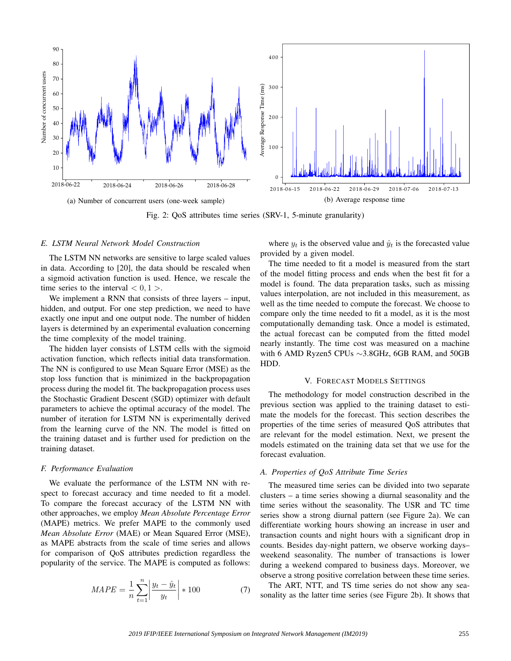

Fig. 2: QoS attributes time series (SRV-1, 5-minute granularity)

#### *E. LSTM Neural Network Model Construction*

The LSTM NN networks are sensitive to large scaled values in data. According to [20], the data should be rescaled when a sigmoid activation function is used. Hence, we rescale the time series to the interval  $< 0, 1 >$ .

We implement a RNN that consists of three layers – input, hidden, and output. For one step prediction, we need to have exactly one input and one output node. The number of hidden layers is determined by an experimental evaluation concerning the time complexity of the model training.

The hidden layer consists of LSTM cells with the sigmoid activation function, which reflects initial data transformation. The NN is configured to use Mean Square Error (MSE) as the stop loss function that is minimized in the backpropagation process during the model fit. The backpropagation process uses the Stochastic Gradient Descent (SGD) optimizer with default parameters to achieve the optimal accuracy of the model. The number of iteration for LSTM NN is experimentally derived from the learning curve of the NN. The model is fitted on the training dataset and is further used for prediction on the training dataset.

#### *F. Performance Evaluation*

We evaluate the performance of the LSTM NN with respect to forecast accuracy and time needed to fit a model. To compare the forecast accuracy of the LSTM NN with other approaches, we employ *Mean Absolute Percentage Error* (MAPE) metrics. We prefer MAPE to the commonly used *Mean Absolute Error* (MAE) or Mean Squared Error (MSE), as MAPE abstracts from the scale of time series and allows for comparison of QoS attributes prediction regardless the popularity of the service. The MAPE is computed as follows:

$$
MAPE = \frac{1}{n} \sum_{t=1}^{n} \left| \frac{y_t - \hat{y}_t}{y_t} \right| * 100 \tag{7}
$$

where  $y_t$  is the observed value and  $\hat{y}_t$  is the forecasted value provided by a given model.

The time needed to fit a model is measured from the start of the model fitting process and ends when the best fit for a model is found. The data preparation tasks, such as missing values interpolation, are not included in this measurement, as well as the time needed to compute the forecast. We choose to compare only the time needed to fit a model, as it is the most computationally demanding task. Once a model is estimated, the actual forecast can be computed from the fitted model nearly instantly. The time cost was measured on a machine with 6 AMD Ryzen5 CPUs ~3.8GHz, 6GB RAM, and 50GB HDD.

### V. FORECAST MODELS SETTINGS

The methodology for model construction described in the previous section was applied to the training dataset to estimate the models for the forecast. This section describes the properties of the time series of measured QoS attributes that are relevant for the model estimation. Next, we present the models estimated on the training data set that we use for the forecast evaluation.

## *A. Properties of QoS Attribute Time Series*

The measured time series can be divided into two separate clusters – a time series showing a diurnal seasonality and the time series without the seasonality. The USR and TC time series show a strong diurnal pattern (see Figure 2a). We can differentiate working hours showing an increase in user and transaction counts and night hours with a significant drop in counts. Besides day-night pattern, we observe working days– weekend seasonality. The number of transactions is lower during a weekend compared to business days. Moreover, we observe a strong positive correlation between these time series.

The ART, NTT, and TS time series do not show any seasonality as the latter time series (see Figure 2b). It shows that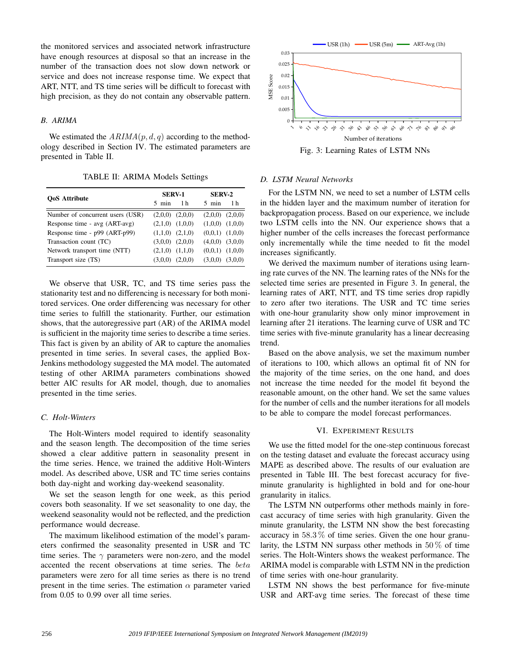the monitored services and associated network infrastructure have enough resources at disposal so that an increase in the number of the transaction does not slow down network or service and does not increase response time. We expect that ART, NTT, and TS time series will be difficult to forecast with high precision, as they do not contain any observable pattern.

# *B. ARIMA*

We estimated the  $ARIMA(p, d, q)$  according to the methodology described in Section IV. The estimated parameters are presented in Table II.

TABLE II: ARIMA Models Settings

| <b>OoS</b> Attribute             | SERV-1                 | SERV-2                 |  |  |
|----------------------------------|------------------------|------------------------|--|--|
|                                  | 1 h<br>$5 \text{ min}$ | $5 \text{ min}$<br>1 h |  |  |
| Number of concurrent users (USR) | (2,0,0)<br>(2,0,0)     | (2,0,0)<br>(2,0,0)     |  |  |
| Response time - avg (ART-avg)    | (1,0,0)<br>(2,1,0)     | (1,0,0)<br>(1,0,0)     |  |  |
| Response time - p99 (ART-p99)    | (2,1,0)<br>(1,1,0)     | (1,0,0)<br>(0,0,1)     |  |  |
| Transaction count (TC)           | (2,0,0)<br>(3,0,0)     | (3,0,0)<br>(4,0,0)     |  |  |
| Network transport time (NTT)     | (1,1,0)<br>(2,1,0)     | (1,0,0)<br>(0,0,1)     |  |  |
| Transport size (TS)              | (2,0,0)<br>(3,0,0)     | (3,0,0)<br>(3,0,0)     |  |  |

We observe that USR, TC, and TS time series pass the stationarity test and no differencing is necessary for both monitored services. One order differencing was necessary for other time series to fulfill the stationarity. Further, our estimation shows, that the autoregressive part (AR) of the ARIMA model is sufficient in the majority time series to describe a time series. This fact is given by an ability of AR to capture the anomalies presented in time series. In several cases, the applied Box-Jenkins methodology suggested the MA model. The automated testing of other ARIMA parameters combinations showed better AIC results for AR model, though, due to anomalies presented in the time series.

# *C. Holt-Winters*

The Holt-Winters model required to identify seasonality and the season length. The decomposition of the time series showed a clear additive pattern in seasonality present in the time series. Hence, we trained the additive Holt-Winters model. As described above, USR and TC time series contains both day-night and working day-weekend seasonality.

We set the season length for one week, as this period covers both seasonality. If we set seasonality to one day, the weekend seasonality would not be reflected, and the prediction performance would decrease.

The maximum likelihood estimation of the model's parameters confirmed the seasonality presented in USR and TC time series. The  $\gamma$  parameters were non-zero, and the model accented the recent observations at time series. The beta parameters were zero for all time series as there is no trend present in the time series. The estimation  $\alpha$  parameter varied from 0.05 to 0.99 over all time series.



Fig. 3: Learning Rates of LSTM NNs

# *D. LSTM Neural Networks*

For the LSTM NN, we need to set a number of LSTM cells in the hidden layer and the maximum number of iteration for backpropagation process. Based on our experience, we include two LSTM cells into the NN. Our experience shows that a higher number of the cells increases the forecast performance only incrementally while the time needed to fit the model increases significantly.

We derived the maximum number of iterations using learning rate curves of the NN. The learning rates of the NNs for the selected time series are presented in Figure 3. In general, the learning rates of ART, NTT, and TS time series drop rapidly to zero after two iterations. The USR and TC time series with one-hour granularity show only minor improvement in learning after 21 iterations. The learning curve of USR and TC time series with five-minute granularity has a linear decreasing trend.

Based on the above analysis, we set the maximum number of iterations to 100, which allows an optimal fit of NN for the majority of the time series, on the one hand, and does not increase the time needed for the model fit beyond the reasonable amount, on the other hand. We set the same values for the number of cells and the number iterations for all models to be able to compare the model forecast performances.

## VI. EXPERIMENT RESULTS

We use the fitted model for the one-step continuous forecast on the testing dataset and evaluate the forecast accuracy using MAPE as described above. The results of our evaluation are presented in Table III. The best forecast accuracy for fiveminute granularity is highlighted in bold and for one-hour granularity in italics.

The LSTM NN outperforms other methods mainly in forecast accuracy of time series with high granularity. Given the minute granularity, the LSTM NN show the best forecasting accuracy in  $58.3\%$  of time series. Given the one hour granularity, the LSTM NN surpass other methods in  $50\%$  of time series. The Holt-Winters shows the weakest performance. The ARIMA model is comparable with LSTM NN in the prediction of time series with one-hour granularity.

LSTM NN shows the best performance for five-minute USR and ART-avg time series. The forecast of these time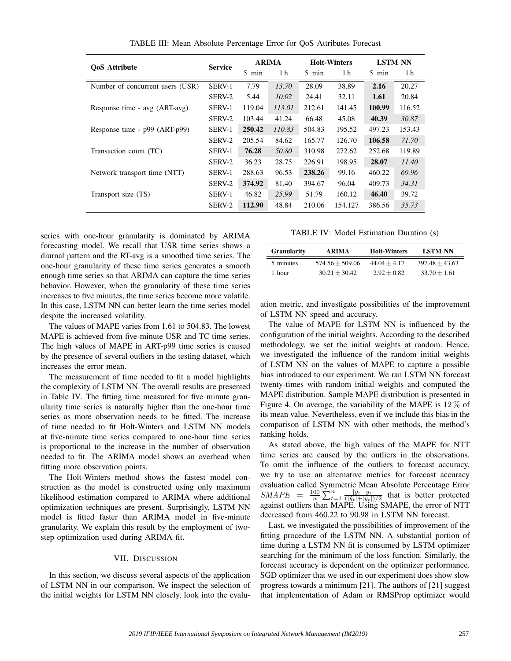| <b>OoS</b> Attribute             | <b>Service</b> | <b>ARIMA</b>    |        | <b>Holt-Winters</b> |         | <b>LSTM NN</b>  |        |
|----------------------------------|----------------|-----------------|--------|---------------------|---------|-----------------|--------|
|                                  |                | $5 \text{ min}$ | 1 h    | $5 \text{ min}$     | 1 h     | $5 \text{ min}$ | 1 h    |
| Number of concurrent users (USR) | SERV-1         | 7.79            | 13.70  | 28.09               | 38.89   | 2.16            | 20.27  |
|                                  | SERV-2         | 5.44            | 10.02  | 24.41               | 32.11   | 1.61            | 20.84  |
| Response time - avg (ART-avg)    | SERV-1         | 119.04          | 113.01 | 212.61              | 141.45  | 100.99          | 116.52 |
|                                  | SERV-2         | 103.44          | 41.24  | 66.48               | 45.08   | 40.39           | 30.87  |
| Response time - p99 (ART-p99)    | SERV-1         | 250.42          | 110.83 | 504.83              | 195.52  | 497.23          | 153.43 |
|                                  | SERV-2         | 205.54          | 84.62  | 165.77              | 126.70  | 106.58          | 71.70  |
| Transaction count (TC)           | SERV-1         | 76.28           | 50.80  | 310.98              | 272.62  | 252.68          | 119.89 |
|                                  | SERV-2         | 36.23           | 28.75  | 226.91              | 198.95  | 28.07           | 11.40  |
| Network transport time (NTT)     | SERV-1         | 288.63          | 96.53  | 238.26              | 99.16   | 460.22          | 69.96  |
|                                  | SERV-2         | 374.92          | 81.40  | 394.67              | 96.04   | 409.73          | 34.31  |
| Transport size (TS)              | SERV-1         | 46.82           | 25.99  | 51.79               | 160.12  | 46.40           | 39.72  |
|                                  | SERV-2         | 112.90          | 48.84  | 210.06              | 154.127 | 386.56          | 35.73  |

TABLE III: Mean Absolute Percentage Error for QoS Attributes Forecast

series with one-hour granularity is dominated by ARIMA forecasting model. We recall that USR time series shows a diurnal pattern and the RT-avg is a smoothed time series. The one-hour granularity of these time series generates a smooth enough time series so that ARIMA can capture the time series behavior. However, when the granularity of these time series increases to five minutes, the time series become more volatile. In this case, LSTM NN can better learn the time series model despite the increased volatility.

The values of MAPE varies from 1.61 to 504.83. The lowest MAPE is achieved from five-minute USR and TC time series. The high values of MAPE in ART-p99 time series is caused by the presence of several outliers in the testing dataset, which increases the error mean.

The measurement of time needed to fit a model highlights the complexity of LSTM NN. The overall results are presented in Table IV. The fitting time measured for five minute granularity time series is naturally higher than the one-hour time series as more observation needs to be fitted. The increase of time needed to fit Holt-Winters and LSTM NN models at five-minute time series compared to one-hour time series is proportional to the increase in the number of observation needed to fit. The ARIMA model shows an overhead when fitting more observation points.

The Holt-Winters method shows the fastest model construction as the model is constructed using only maximum likelihood estimation compared to ARIMA where additional optimization techniques are present. Surprisingly, LSTM NN model is fitted faster than ARIMA model in five-minute granularity. We explain this result by the employment of twostep optimization used during ARIMA fit.

### VII. DISCUSSION

In this section, we discuss several aspects of the application of LSTM NN in our comparison. We inspect the selection of the initial weights for LSTM NN closely, look into the evalu-

TABLE IV: Model Estimation Duration (s)

| <b>Granularity</b> | <b>ARIMA</b>      | <b>Holt-Winters</b> | <b>LSTM NN</b>   |
|--------------------|-------------------|---------------------|------------------|
| 5 minutes          | $574.56 + 509.06$ | $44.04 + 4.17$      | $397.48 + 43.63$ |
| 1 hour             | $30.21 + 30.42$   | $2.92 + 0.82$       | $33.70 + 1.61$   |

ation metric, and investigate possibilities of the improvement of LSTM NN speed and accuracy.

The value of MAPE for LSTM NN is influenced by the configuration of the initial weights. According to the described methodology, we set the initial weights at random. Hence, we investigated the influence of the random initial weights of LSTM NN on the values of MAPE to capture a possible bias introduced to our experiment. We ran LSTM NN forecast twenty-times with random initial weights and computed the MAPE distribution. Sample MAPE distribution is presented in Figure 4. On average, the variability of the MAPE is 12 % of its mean value. Nevertheless, even if we include this bias in the comparison of LSTM NN with other methods, the method's ranking holds.

As stated above, the high values of the MAPE for NTT time series are caused by the outliers in the observations. To omit the influence of the outliers to forecast accuracy, we try to use an alternative metrics for forecast accuracy evaluation called Symmetric Mean Absolute Percentage Error  $SMAPE = \frac{100}{n} \sum_{t=1}^{n} \frac{|\hat{y}_t - y_t|}{(|\hat{y}_t| + |y_t|)}$  $\frac{|y_t - y_t|}{(|\hat{y}_t| + |y_t|)/2}$  that is better protected against outliers than MAPE. Using SMAPE, the error of NTT decreased from 460.22 to 90.98 in LSTM NN forecast.

Last, we investigated the possibilities of improvement of the fitting procedure of the LSTM NN. A substantial portion of time during a LSTM NN fit is consumed by LSTM optimizer searching for the minimum of the loss function. Similarly, the forecast accuracy is dependent on the optimizer performance. SGD optimizer that we used in our experiment does show slow progress towards a minimum [21]. The authors of [21] suggest that implementation of Adam or RMSProp optimizer would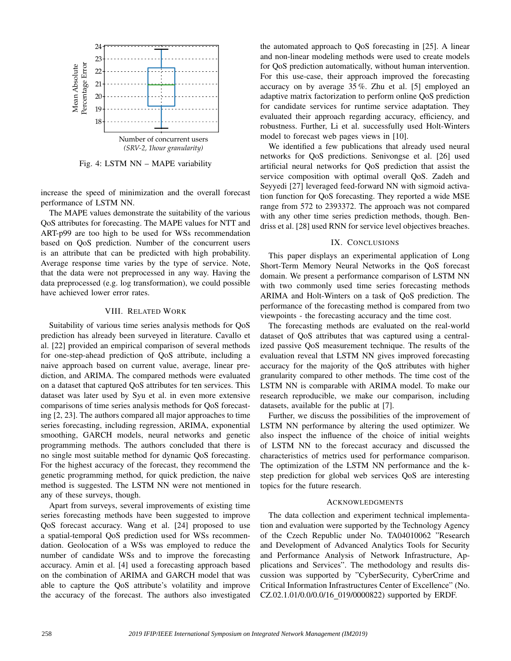

Fig. 4: LSTM NN – MAPE variability

increase the speed of minimization and the overall forecast performance of LSTM NN.

The MAPE values demonstrate the suitability of the various QoS attributes for forecasting. The MAPE values for NTT and ART-p99 are too high to be used for WSs recommendation based on QoS prediction. Number of the concurrent users is an attribute that can be predicted with high probability. Average response time varies by the type of service. Note, that the data were not preprocessed in any way. Having the data preprocessed (e.g. log transformation), we could possible have achieved lower error rates.

#### VIII. RELATED WORK

Suitability of various time series analysis methods for QoS prediction has already been surveyed in literature. Cavallo et al. [22] provided an empirical comparison of several methods for one-step-ahead prediction of QoS attribute, including a naive approach based on current value, average, linear prediction, and ARIMA. The compared methods were evaluated on a dataset that captured QoS attributes for ten services. This dataset was later used by Syu et al. in even more extensive comparisons of time series analysis methods for QoS forecasting [2, 23]. The authors compared all major approaches to time series forecasting, including regression, ARIMA, exponential smoothing, GARCH models, neural networks and genetic programming methods. The authors concluded that there is no single most suitable method for dynamic QoS forecasting. For the highest accuracy of the forecast, they recommend the genetic programming method, for quick prediction, the naive method is suggested. The LSTM NN were not mentioned in any of these surveys, though.

Apart from surveys, several improvements of existing time series forecasting methods have been suggested to improve QoS forecast accuracy. Wang et al. [24] proposed to use a spatial-temporal QoS prediction used for WSs recommendation. Geolocation of a WSs was employed to reduce the number of candidate WSs and to improve the forecasting accuracy. Amin et al. [4] used a forecasting approach based on the combination of ARIMA and GARCH model that was able to capture the QoS attribute's volatility and improve the accuracy of the forecast. The authors also investigated the automated approach to QoS forecasting in [25]. A linear and non-linear modeling methods were used to create models for QoS prediction automatically, without human intervention. For this use-case, their approach improved the forecasting accuracy on by average 35 %. Zhu et al. [5] employed an adaptive matrix factorization to perform online QoS prediction for candidate services for runtime service adaptation. They evaluated their approach regarding accuracy, efficiency, and robustness. Further, Li et al. successfully used Holt-Winters model to forecast web pages views in [10].

We identified a few publications that already used neural networks for QoS predictions. Senivongse et al. [26] used artificial neural networks for QoS prediction that assist the service composition with optimal overall QoS. Zadeh and Seyyedi [27] leveraged feed-forward NN with sigmoid activation function for QoS forecasting. They reported a wide MSE range from 572 to 2393372. The approach was not compared with any other time series prediction methods, though. Bendriss et al. [28] used RNN for service level objectives breaches.

## IX. CONCLUSIONS

This paper displays an experimental application of Long Short-Term Memory Neural Networks in the QoS forecast domain. We present a performance comparison of LSTM NN with two commonly used time series forecasting methods ARIMA and Holt-Winters on a task of QoS prediction. The performance of the forecasting method is compared from two viewpoints - the forecasting accuracy and the time cost.

The forecasting methods are evaluated on the real-world dataset of QoS attributes that was captured using a centralized passive QoS measurement technique. The results of the evaluation reveal that LSTM NN gives improved forecasting accuracy for the majority of the QoS attributes with higher granularity compared to other methods. The time cost of the LSTM NN is comparable with ARIMA model. To make our research reproducible, we make our comparison, including datasets, available for the public at [7].

Further, we discuss the possibilities of the improvement of LSTM NN performance by altering the used optimizer. We also inspect the influence of the choice of initial weights of LSTM NN to the forecast accuracy and discussed the characteristics of metrics used for performance comparison. The optimization of the LSTM NN performance and the kstep prediction for global web services QoS are interesting topics for the future research.

#### ACKNOWLEDGMENTS

The data collection and experiment technical implementation and evaluation were supported by the Technology Agency of the Czech Republic under No. TA04010062 "Research and Development of Advanced Analytics Tools for Security and Performance Analysis of Network Infrastructure, Applications and Services". The methodology and results discussion was supported by "CyberSecurity, CyberCrime and Critical Information Infrastructures Center of Excellence" (No. CZ.02.1.01/0.0/0.0/16 019/0000822) supported by ERDF.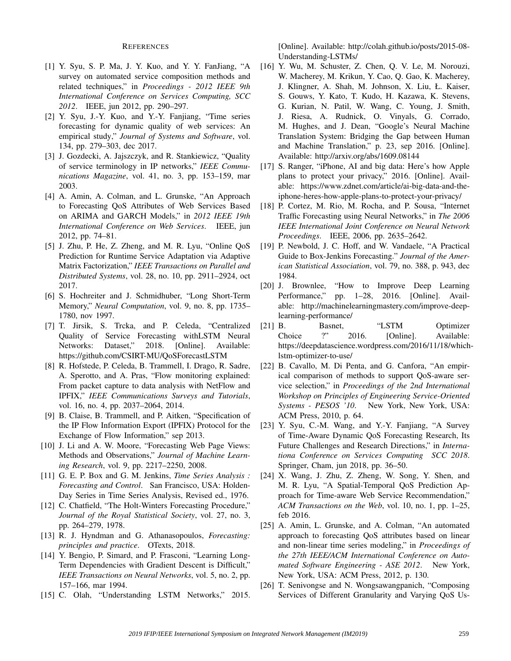# **REFERENCES**

- [1] Y. Syu, S. P. Ma, J. Y. Kuo, and Y. Y. FanJiang, "A survey on automated service composition methods and related techniques," in *Proceedings - 2012 IEEE 9th International Conference on Services Computing, SCC 2012*. IEEE, jun 2012, pp. 290–297.
- [2] Y. Syu, J.-Y. Kuo, and Y.-Y. Fanjiang, "Time series forecasting for dynamic quality of web services: An empirical study," *Journal of Systems and Software*, vol. 134, pp. 279–303, dec 2017.
- [3] J. Gozdecki, A. Jajszczyk, and R. Stankiewicz, "Quality of service terminology in IP networks," *IEEE Communications Magazine*, vol. 41, no. 3, pp. 153–159, mar 2003.
- [4] A. Amin, A. Colman, and L. Grunske, "An Approach to Forecasting QoS Attributes of Web Services Based on ARIMA and GARCH Models," in *2012 IEEE 19th International Conference on Web Services*. IEEE, jun 2012, pp. 74–81.
- [5] J. Zhu, P. He, Z. Zheng, and M. R. Lyu, "Online QoS Prediction for Runtime Service Adaptation via Adaptive Matrix Factorization," *IEEE Transactions on Parallel and Distributed Systems*, vol. 28, no. 10, pp. 2911–2924, oct 2017.
- [6] S. Hochreiter and J. Schmidhuber, "Long Short-Term Memory," *Neural Computation*, vol. 9, no. 8, pp. 1735– 1780, nov 1997.
- [7] T. Jirsik, S. Trcka, and P. Celeda, "Centralized Quality of Service Forecasting withLSTM Neural Networks: Dataset," 2018. [Online]. Available: https://github.com/CSIRT-MU/QoSForecastLSTM
- [8] R. Hofstede, P. Celeda, B. Trammell, I. Drago, R. Sadre, A. Sperotto, and A. Pras, "Flow monitoring explained: From packet capture to data analysis with NetFlow and IPFIX," *IEEE Communications Surveys and Tutorials*, vol. 16, no. 4, pp. 2037–2064, 2014.
- [9] B. Claise, B. Trammell, and P. Aitken, "Specification of the IP Flow Information Export (IPFIX) Protocol for the Exchange of Flow Information," sep 2013.
- [10] J. Li and A. W. Moore, "Forecasting Web Page Views: Methods and Observations," *Journal of Machine Learning Research*, vol. 9, pp. 2217–2250, 2008.
- [11] G. E. P. Box and G. M. Jenkins, *Time Series Analysis : Forecasting and Control*. San Francisco, USA: Holden-Day Series in Time Series Analysis, Revised ed., 1976.
- [12] C. Chatfield, "The Holt-Winters Forecasting Procedure," *Journal of the Royal Statistical Society*, vol. 27, no. 3, pp. 264–279, 1978.
- [13] R. J. Hyndman and G. Athanasopoulos, *Forecasting: principles and practice*. OTexts, 2018.
- [14] Y. Bengio, P. Simard, and P. Frasconi, "Learning Long-Term Dependencies with Gradient Descent is Difficult," *IEEE Transactions on Neural Networks*, vol. 5, no. 2, pp. 157–166, mar 1994.
- [15] C. Olah, "Understanding LSTM Networks," 2015.

[Online]. Available: http://colah.github.io/posts/2015-08- Understanding-LSTMs/

- [16] Y. Wu, M. Schuster, Z. Chen, Q. V. Le, M. Norouzi, W. Macherey, M. Krikun, Y. Cao, Q. Gao, K. Macherey, J. Klingner, A. Shah, M. Johnson, X. Liu, Ł. Kaiser, S. Gouws, Y. Kato, T. Kudo, H. Kazawa, K. Stevens, G. Kurian, N. Patil, W. Wang, C. Young, J. Smith, J. Riesa, A. Rudnick, O. Vinyals, G. Corrado, M. Hughes, and J. Dean, "Google's Neural Machine Translation System: Bridging the Gap between Human and Machine Translation," p. 23, sep 2016. [Online]. Available: http://arxiv.org/abs/1609.08144
- [17] S. Ranger, "iPhone, AI and big data: Here's how Apple plans to protect your privacy," 2016. [Online]. Available: https://www.zdnet.com/article/ai-big-data-and-theiphone-heres-how-apple-plans-to-protect-your-privacy/
- [18] P. Cortez, M. Rio, M. Rocha, and P. Sousa, "Internet Traffic Forecasting using Neural Networks," in *The 2006 IEEE International Joint Conference on Neural Network Proceedings*. IEEE, 2006, pp. 2635–2642.
- [19] P. Newbold, J. C. Hoff, and W. Vandaele, "A Practical Guide to Box-Jenkins Forecasting." *Journal of the American Statistical Association*, vol. 79, no. 388, p. 943, dec 1984.
- [20] J. Brownlee, "How to Improve Deep Learning Performance," pp. 1–28, 2016. [Online]. Available: http://machinelearningmastery.com/improve-deeplearning-performance/
- [21] B. Basnet, "LSTM Optimizer Choice ?" 2016. [Online]. Available: https://deepdatascience.wordpress.com/2016/11/18/whichlstm-optimizer-to-use/
- [22] B. Cavallo, M. Di Penta, and G. Canfora, "An empirical comparison of methods to support QoS-aware service selection," in *Proceedings of the 2nd International Workshop on Principles of Engineering Service-Oriented Systems - PESOS '10*. New York, New York, USA: ACM Press, 2010, p. 64.
- [23] Y. Syu, C.-M. Wang, and Y.-Y. Fanjiang, "A Survey of Time-Aware Dynamic QoS Forecasting Research, Its Future Challenges and Research Directions," in *Internationa Conference on Services Computing SCC 2018*. Springer, Cham, jun 2018, pp. 36–50.
- [24] X. Wang, J. Zhu, Z. Zheng, W. Song, Y. Shen, and M. R. Lyu, "A Spatial-Temporal QoS Prediction Approach for Time-aware Web Service Recommendation," *ACM Transactions on the Web*, vol. 10, no. 1, pp. 1–25, feb 2016.
- [25] A. Amin, L. Grunske, and A. Colman, "An automated approach to forecasting QoS attributes based on linear and non-linear time series modeling," in *Proceedings of the 27th IEEE/ACM International Conference on Automated Software Engineering - ASE 2012*. New York, New York, USA: ACM Press, 2012, p. 130.
- [26] T. Senivongse and N. Wongsawangpanich, "Composing Services of Different Granularity and Varying QoS Us-